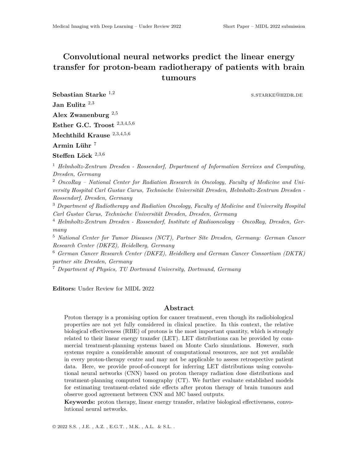## **Convolutional neural networks predict the linear energy transfer for proton-beam radiotherapy of patients with brain tumours**

s.starke@hzdr.de

**Sebastian Starke** <sup>1</sup>*,*<sup>2</sup> **Jan Eulitz** <sup>2</sup>*,*<sup>3</sup> **Alex Zwanenburg** <sup>2</sup>*,*<sup>5</sup> **Esther G.C. Troost** <sup>2</sup>*,*3*,*4*,*5*,*<sup>6</sup> **Mechthild Krause** <sup>2</sup>*,*3*,*4*,*5*,*<sup>6</sup> **Armin Lühr** <sup>7</sup> **Steffen Löck** <sup>2</sup>*,*3*,*<sup>6</sup>

<sup>1</sup> *Helmholtz-Zentrum Dresden - Rossendorf, Department of Information Services and Computing, Dresden, Germany*

<sup>2</sup> *OncoRay – National Center for Radiation Research in Oncology, Faculty of Medicine and University Hospital Carl Gustav Carus, Technische Universität Dresden, Helmholtz-Zentrum Dresden - Rossendorf, Dresden, Germany*

<sup>3</sup> *Department of Radiotherapy and Radiation Oncology, Faculty of Medicine and University Hospital Carl Gustav Carus, Technische Universität Dresden, Dresden, Germany*

<sup>4</sup> *Helmholtz-Zentrum Dresden - Rossendorf, Institute of Radiooncology – OncoRay, Dresden, Germany*

<sup>5</sup> *National Center for Tumor Diseases (NCT), Partner Site Dresden, Germany: German Cancer Research Center (DKFZ), Heidelberg, Germany*

<sup>6</sup> *German Cancer Research Center (DKFZ), Heidelberg and German Cancer Consortium (DKTK) partner site Dresden, Germany*

<sup>7</sup> *Department of Physics, TU Dortmund University, Dortmund, Germany*

**Editors:** Under Review for MIDL 2022

## **Abstract**

Proton therapy is a promising option for cancer treatment, even though its radiobiological properties are not yet fully considered in clinical practice. In this context, the relative biological effectiveness (RBE) of protons is the most important quantity, which is strongly related to their linear energy transfer (LET). LET distributions can be provided by commercial treatment-planning systems based on Monte Carlo simulations. However, such systems require a considerable amount of computational resources, are not yet available in every proton-therapy centre and may not be applicable to assess retrospective patient data. Here, we provide proof-of-concept for inferring LET distributions using convolutional neural networks (CNN) based on proton therapy radiation dose distributions and treatment-planning computed tomography (CT). We further evaluate established models for estimating treatment-related side effects after proton therapy of brain tumours and observe good agreement between CNN and MC based outputs.

**Keywords:** proton therapy, linear energy transfer, relative biological effectiveness, convolutional neural networks.

© 2022 S.S. , J.E. , A.Z. , E.G.T. , M.K. , A.L. & S.L. .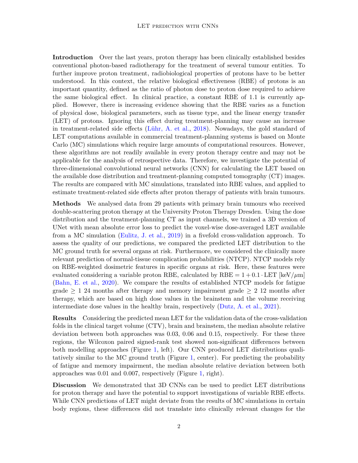**Introduction** Over the last years, proton therapy has been clinically established besides conventional photon-based radiotherapy for the treatment of several tumour entities. To further improve proton treatment, radiobiological properties of protons have to be better understood. In this context, the relative biological effectiveness (RBE) of protons is an important quantity, defined as the ratio of photon dose to proton dose required to achieve the same biological effect. In clinical practice, a constant RBE of 1.1 is currently applied. However, there is increasing evidence showing that the RBE varies as a function of physical dose, biological parameters, such as tissue type, and the linear energy transfer (LET) of protons. Ignoring this effect during treatment-planning may cause an increase in treatment-related side effects [\(Lühr, A. et al.,](#page-2-0) [2018](#page-2-0)). Nowadays, the gold standard of LET computations available in commercial treatment-planning systems is based on Monte Carlo (MC) simulations which require large amounts of computational resources. However, these algorithms are not readily available in every proton therapy centre and may not be applicable for the analysis of retrospective data. Therefore, we investigate the potential of three-dimensional convolutional neural networks (CNN) for calculating the LET based on the available dose distribution and treatment-planning computed tomography (CT) images. The results are compared with MC simulations, translated into RBE values, and applied to estimate treatment-related side effects after proton therapy of patients with brain tumours.

**Methods** We analysed data from 29 patients with primary brain tumours who received double-scattering proton therapy at the University Proton Therapy Dresden. Using the dose distribution and the treatment-planning CT as input channels, we trained a 3D version of UNet with mean absolute error loss to predict the voxel-wise dose-averaged LET available from a MC simulation [\(Eulitz, J. et al.,](#page-2-1) [2019\)](#page-2-1) in a fivefold cross-validation approach. To assess the quality of our predictions, we compared the predicted LET distribution to the MC ground truth for several organs at risk. Furthermore, we considered the clinically more relevant prediction of normal-tissue complication probabilities (NTCP). NTCP models rely on RBE-weighted dosimetric features in specific organs at risk. Here, these features were evaluated considering a variable proton RBE, calculated by RBE  $= 1 + 0.1 \cdot \text{LET}$  [keV/ $\mu$ m] [\(Bahn, E. et al.,](#page-2-2) [2020](#page-2-2)). We compare the results of established NTCP models for fatigue grade  $\geq 1$  24 months after therapy and memory impairment grade  $\geq 2$  12 months after therapy, which are based on high dose values in the brainstem and the volume receiving intermediate dose values in the healthy brain, respectively ([Dutz, A. et al.,](#page-2-3) [2021](#page-2-3)).

**Results** Considering the predicted mean LET for the validation data of the cross-validation folds in the clinical target volume (CTV), brain and brainstem, the median absolute relative deviation between both approaches was 0.03, 0.06 and 0.15, respectively. For these three regions, the Wilcoxon paired signed-rank test showed non-significant differences between both modelling approaches (Figure [1](#page-2-4), left). Our CNN produced LET distributions qualitatively similar to the MC ground truth (Figure [1,](#page-2-4) center). For predicting the probability of fatigue and memory impairment, the median absolute relative deviation between both approaches was 0.01 and 0.007, respectively (Figure [1](#page-2-4), right).

**Discussion** We demonstrated that 3D CNNs can be used to predict LET distributions for proton therapy and have the potential to support investigations of variable RBE effects. While CNN predictions of LET might deviate from the results of MC simulations in certain body regions, these differences did not translate into clinically relevant changes for the